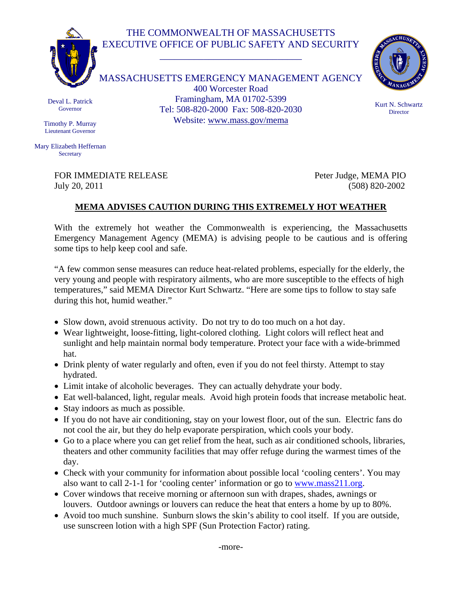## THE COMMONWEALTH OF MASSACHUSETTS EXECUTIVE OFFICE OF PUBLIC SAFETY AND SECURITY

\_\_\_\_\_\_\_\_\_\_\_\_\_\_\_\_\_\_\_\_\_\_\_\_\_\_\_\_\_



MASSACHUSETTS EMERGENCY MANAGEMENT AGENCY 400 Worcester Road Framingham, MA 01702-5399 Tel: 508-820-2000 Fax: 508-820-2030 Website: www.mass.gov/mema



Kurt N. Schwartz **Director** 

Deval L. Patrick Governor

Timothy P. Murray Lieutenant Governor

Mary Elizabeth Heffernan **Secretary** 

> FOR IMMEDIATE RELEASE Peter Judge, MEMA PIO July 20, 2011 (508) 820-2002

## **MEMA ADVISES CAUTION DURING THIS EXTREMELY HOT WEATHER**

With the extremely hot weather the Commonwealth is experiencing, the Massachusetts Emergency Management Agency (MEMA) is advising people to be cautious and is offering some tips to help keep cool and safe.

"A few common sense measures can reduce heat-related problems, especially for the elderly, the very young and people with respiratory ailments, who are more susceptible to the effects of high temperatures," said MEMA Director Kurt Schwartz. "Here are some tips to follow to stay safe during this hot, humid weather."

- Slow down, avoid strenuous activity. Do not try to do too much on a hot day.
- Wear lightweight, loose-fitting, light-colored clothing. Light colors will reflect heat and sunlight and help maintain normal body temperature. Protect your face with a wide-brimmed hat.
- Drink plenty of water regularly and often, even if you do not feel thirsty. Attempt to stay hydrated.
- Limit intake of alcoholic beverages. They can actually dehydrate your body.
- Eat well-balanced, light, regular meals. Avoid high protein foods that increase metabolic heat.
- Stay indoors as much as possible.
- If you do not have air conditioning, stay on your lowest floor, out of the sun. Electric fans do not cool the air, but they do help evaporate perspiration, which cools your body.
- Go to a place where you can get relief from the heat, such as air conditioned schools, libraries, theaters and other community facilities that may offer refuge during the warmest times of the day.
- Check with your community for information about possible local 'cooling centers'. You may also want to call 2-1-1 for 'cooling center' information or go to www.mass211.org.
- Cover windows that receive morning or afternoon sun with drapes, shades, awnings or louvers. Outdoor awnings or louvers can reduce the heat that enters a home by up to 80%.
- Avoid too much sunshine. Sunburn slows the skin's ability to cool itself. If you are outside, use sunscreen lotion with a high SPF (Sun Protection Factor) rating.